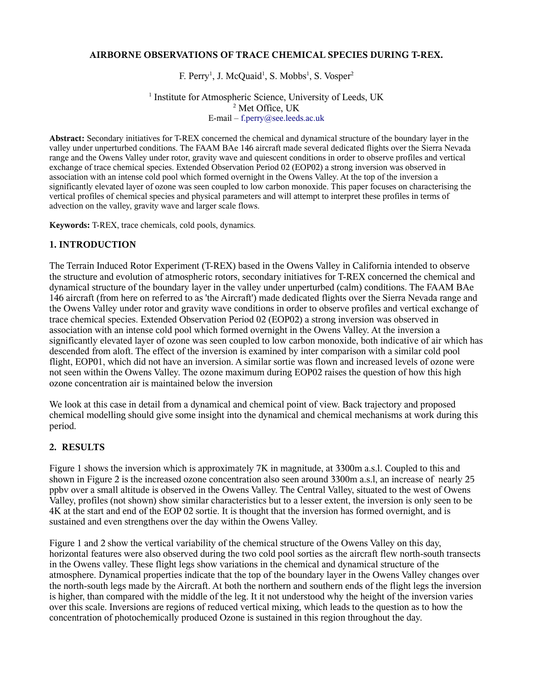### **AIRBORNE OBSERVATIONS OF TRACE CHEMICAL SPECIES DURING T-REX.**

F. Perry<sup>1</sup>, J. McQuaid<sup>1</sup>, S. Mobbs<sup>1</sup>, S. Vosper<sup>2</sup>

<sup>1</sup> Institute for Atmospheric Science, University of Leeds, UK <sup>2</sup> Met Office, UK E-mail – [f.perry@see.leeds.ac.uk](mailto:f.perry@see.leeds.ac.uk)

**Abstract:** Secondary initiatives for T-REX concerned the chemical and dynamical structure of the boundary layer in the valley under unperturbed conditions. The FAAM BAe 146 aircraft made several dedicated flights over the Sierra Nevada range and the Owens Valley under rotor, gravity wave and quiescent conditions in order to observe profiles and vertical exchange of trace chemical species. Extended Observation Period 02 (EOP02) a strong inversion was observed in association with an intense cold pool which formed overnight in the Owens Valley. At the top of the inversion a significantly elevated layer of ozone was seen coupled to low carbon monoxide. This paper focuses on characterising the vertical profiles of chemical species and physical parameters and will attempt to interpret these profiles in terms of advection on the valley, gravity wave and larger scale flows.

**Keywords:** T-REX, trace chemicals, cold pools, dynamics.

### **1. INTRODUCTION**

The Terrain Induced Rotor Experiment (T-REX) based in the Owens Valley in California intended to observe the structure and evolution of atmospheric rotors, secondary initiatives for T-REX concerned the chemical and dynamical structure of the boundary layer in the valley under unperturbed (calm) conditions. The FAAM BAe 146 aircraft (from here on referred to as 'the Aircraft') made dedicated flights over the Sierra Nevada range and the Owens Valley under rotor and gravity wave conditions in order to observe profiles and vertical exchange of trace chemical species. Extended Observation Period 02 (EOP02) a strong inversion was observed in association with an intense cold pool which formed overnight in the Owens Valley. At the inversion a significantly elevated layer of ozone was seen coupled to low carbon monoxide, both indicative of air which has descended from aloft. The effect of the inversion is examined by inter comparison with a similar cold pool flight, EOP01, which did not have an inversion. A similar sortie was flown and increased levels of ozone were not seen within the Owens Valley. The ozone maximum during EOP02 raises the question of how this high ozone concentration air is maintained below the inversion

We look at this case in detail from a dynamical and chemical point of view. Back trajectory and proposed chemical modelling should give some insight into the dynamical and chemical mechanisms at work during this period.

### **2. RESULTS**

Figure 1 shows the inversion which is approximately 7K in magnitude, at 3300m a.s.l. Coupled to this and shown in Figure 2 is the increased ozone concentration also seen around 3300m a.s.l, an increase of nearly 25 ppbv over a small altitude is observed in the Owens Valley. The Central Valley, situated to the west of Owens Valley, profiles (not shown) show similar characteristics but to a lesser extent, the inversion is only seen to be 4K at the start and end of the EOP 02 sortie. It is thought that the inversion has formed overnight, and is sustained and even strengthens over the day within the Owens Valley.

Figure 1 and 2 show the vertical variability of the chemical structure of the Owens Valley on this day, horizontal features were also observed during the two cold pool sorties as the aircraft flew north-south transects in the Owens valley. These flight legs show variations in the chemical and dynamical structure of the atmosphere. Dynamical properties indicate that the top of the boundary layer in the Owens Valley changes over the north-south legs made by the Aircraft. At both the northern and southern ends of the flight legs the inversion is higher, than compared with the middle of the leg. It it not understood why the height of the inversion varies over this scale. Inversions are regions of reduced vertical mixing, which leads to the question as to how the concentration of photochemically produced Ozone is sustained in this region throughout the day.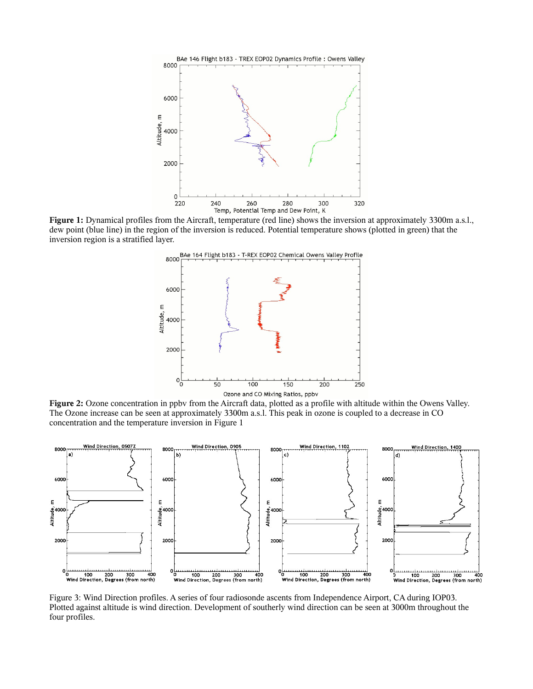

**Figure 1:** Dynamical profiles from the Aircraft, temperature (red line) shows the inversion at approximately 3300m a.s.l., dew point (blue line) in the region of the inversion is reduced. Potential temperature shows (plotted in green) that the inversion region is a stratified layer.



**Figure 2:** Ozone concentration in ppbv from the Aircraft data, plotted as a profile with altitude within the Owens Valley. The Ozone increase can be seen at approximately 3300m a.s.l. This peak in ozone is coupled to a decrease in CO concentration and the temperature inversion in Figure 1



Figure 3: Wind Direction profiles. A series of four radiosonde ascents from Independence Airport, CA during IOP03. Plotted against altitude is wind direction. Development of southerly wind direction can be seen at 3000m throughout the four profiles.